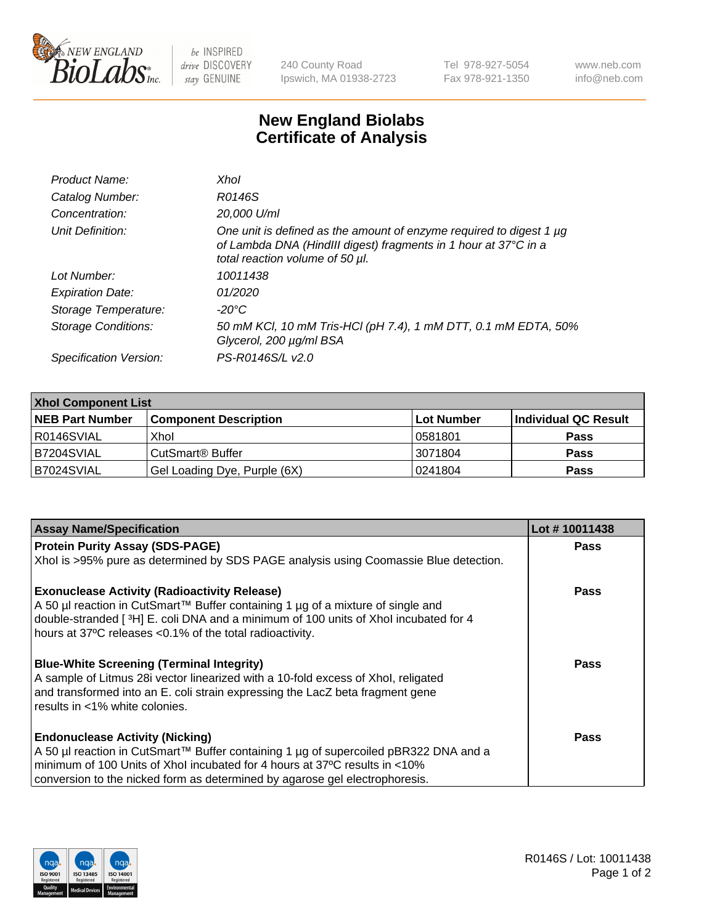

 $be$  INSPIRED drive DISCOVERY stay GENUINE

240 County Road Ipswich, MA 01938-2723 Tel 978-927-5054 Fax 978-921-1350 www.neb.com info@neb.com

## **New England Biolabs Certificate of Analysis**

| Product Name:              | Xhol                                                                                                                                                                      |
|----------------------------|---------------------------------------------------------------------------------------------------------------------------------------------------------------------------|
| Catalog Number:            | R0146S                                                                                                                                                                    |
| Concentration:             | 20,000 U/ml                                                                                                                                                               |
| Unit Definition:           | One unit is defined as the amount of enzyme required to digest 1 µg<br>of Lambda DNA (HindIII digest) fragments in 1 hour at 37°C in a<br>total reaction volume of 50 µl. |
| Lot Number:                | 10011438                                                                                                                                                                  |
| <b>Expiration Date:</b>    | 01/2020                                                                                                                                                                   |
| Storage Temperature:       | -20°C                                                                                                                                                                     |
| <b>Storage Conditions:</b> | 50 mM KCl, 10 mM Tris-HCl (pH 7.4), 1 mM DTT, 0.1 mM EDTA, 50%<br>Glycerol, 200 µg/ml BSA                                                                                 |
| Specification Version:     | PS-R0146S/L v2.0                                                                                                                                                          |

| <b>Xhol Component List</b> |                              |            |                      |  |  |
|----------------------------|------------------------------|------------|----------------------|--|--|
| <b>NEB Part Number</b>     | <b>Component Description</b> | Lot Number | Individual QC Result |  |  |
| I R0146SVIAL               | Xhol                         | 10581801   | <b>Pass</b>          |  |  |
| IB7204SVIAL                | l CutSmart® Buffer           | 13071804   | <b>Pass</b>          |  |  |
| <b>B7024SVIAL</b>          | Gel Loading Dye, Purple (6X) | 10241804   | <b>Pass</b>          |  |  |

| <b>Assay Name/Specification</b>                                                      | Lot #10011438 |
|--------------------------------------------------------------------------------------|---------------|
| <b>Protein Purity Assay (SDS-PAGE)</b>                                               | <b>Pass</b>   |
| Xhol is >95% pure as determined by SDS PAGE analysis using Coomassie Blue detection. |               |
| <b>Exonuclease Activity (Radioactivity Release)</b>                                  | Pass          |
| A 50 µl reaction in CutSmart™ Buffer containing 1 µg of a mixture of single and      |               |
| double-stranded [3H] E. coli DNA and a minimum of 100 units of Xhol incubated for 4  |               |
| hours at 37°C releases <0.1% of the total radioactivity.                             |               |
| <b>Blue-White Screening (Terminal Integrity)</b>                                     | Pass          |
| A sample of Litmus 28i vector linearized with a 10-fold excess of Xhol, religated    |               |
| and transformed into an E. coli strain expressing the LacZ beta fragment gene        |               |
| results in <1% white colonies.                                                       |               |
| <b>Endonuclease Activity (Nicking)</b>                                               | Pass          |
| A 50 µl reaction in CutSmart™ Buffer containing 1 µg of supercoiled pBR322 DNA and a |               |
| minimum of 100 Units of Xhol incubated for 4 hours at 37°C results in <10%           |               |
| conversion to the nicked form as determined by agarose gel electrophoresis.          |               |